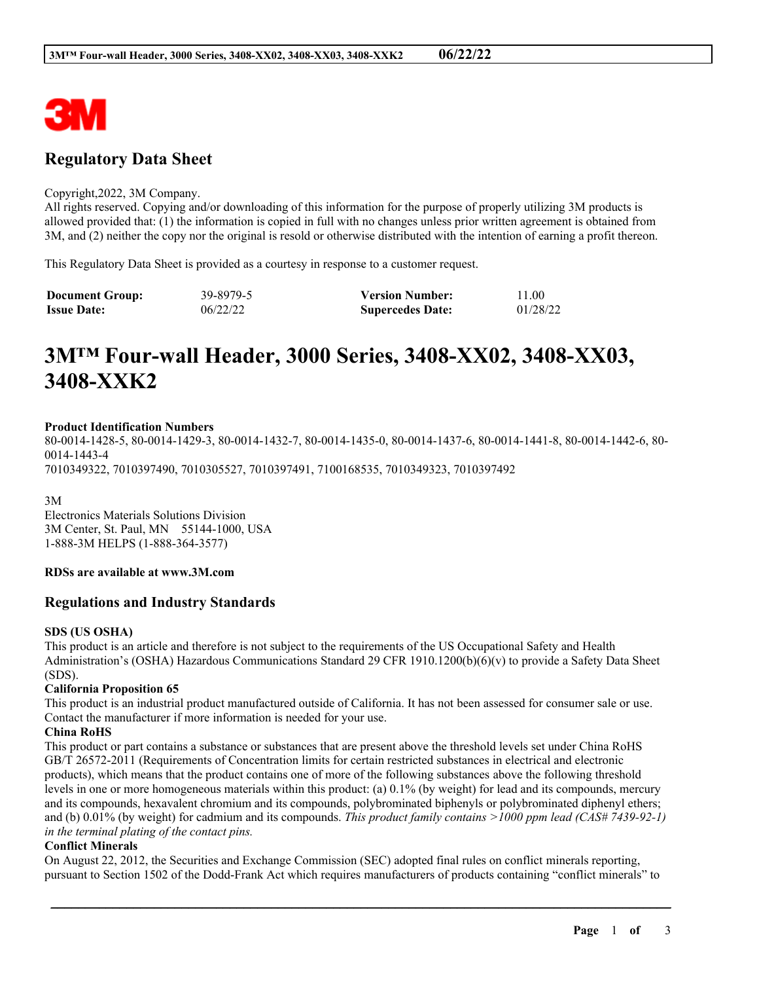

# **Regulatory Data Sheet**

#### Copyright,2022, 3M Company.

All rights reserved. Copying and/or downloading of this information for the purpose of properly utilizing 3M products is allowed provided that: (1) the information is copied in full with no changes unless prior written agreement is obtained from 3M, and (2) neither the copy nor the original is resold or otherwise distributed with the intention of earning a profit thereon.

This Regulatory Data Sheet is provided as a courtesy in response to a customer request.

| <b>Document Group:</b> | 39-8979-5 | <b>Version Number:</b>  | 11.00    |
|------------------------|-----------|-------------------------|----------|
| <b>Issue Date:</b>     | 06/22/22  | <b>Supercedes Date:</b> | 01/28/22 |

# **3M™ Four-wall Header, 3000 Series, 3408-XX02, 3408-XX03, 3408-XXK2**

#### **Product Identification Numbers**

80-0014-1428-5, 80-0014-1429-3, 80-0014-1432-7, 80-0014-1435-0, 80-0014-1437-6, 80-0014-1441-8, 80-0014-1442-6, 80- 0014-1443-4 7010349322, 7010397490, 7010305527, 7010397491, 7100168535, 7010349323, 7010397492

3M Electronics Materials Solutions Division 3M Center, St. Paul, MN 55144-1000, USA 1-888-3M HELPS (1-888-364-3577)

#### **RDSs are available at www.3M.com**

#### **Regulations and Industry Standards**

#### **SDS (US OSHA)**

This product is an article and therefore is not subject to the requirements of the US Occupational Safety and Health Administration's (OSHA) Hazardous Communications Standard 29 CFR 1910.1200(b)(6)(v) to provide a Safety Data Sheet (SDS).

#### **California Proposition 65**

This product is an industrial product manufactured outside of California. It has not been assessed for consumer sale or use. Contact the manufacturer if more information is needed for your use.

#### **China RoHS**

This product or part contains a substance or substances that are present above the threshold levels set under China RoHS GB/T 26572-2011 (Requirements of Concentration limits for certain restricted substances in electrical and electronic products), which means that the product contains one of more of the following substances above the following threshold levels in one or more homogeneous materials within this product: (a) 0.1% (by weight) for lead and its compounds, mercury and its compounds, hexavalent chromium and its compounds, polybrominated biphenyls or polybrominated diphenyl ethers; and (b) 0.01% (by weight) for cadmium and its compounds. *This product family contains >1000 ppm lead (CAS# 7439-92-1) in the terminal plating of the contact pins.*

#### **Conflict Minerals**

On August 22, 2012, the Securities and Exchange Commission (SEC) adopted final rules on conflict minerals reporting, pursuant to Section 1502 of the Dodd-Frank Act which requires manufacturers of products containing "conflict minerals" to

\_\_\_\_\_\_\_\_\_\_\_\_\_\_\_\_\_\_\_\_\_\_\_\_\_\_\_\_\_\_\_\_\_\_\_\_\_\_\_\_\_\_\_\_\_\_\_\_\_\_\_\_\_\_\_\_\_\_\_\_\_\_\_\_\_\_\_\_\_\_\_\_\_\_\_\_\_\_\_\_\_\_\_\_\_\_\_\_\_\_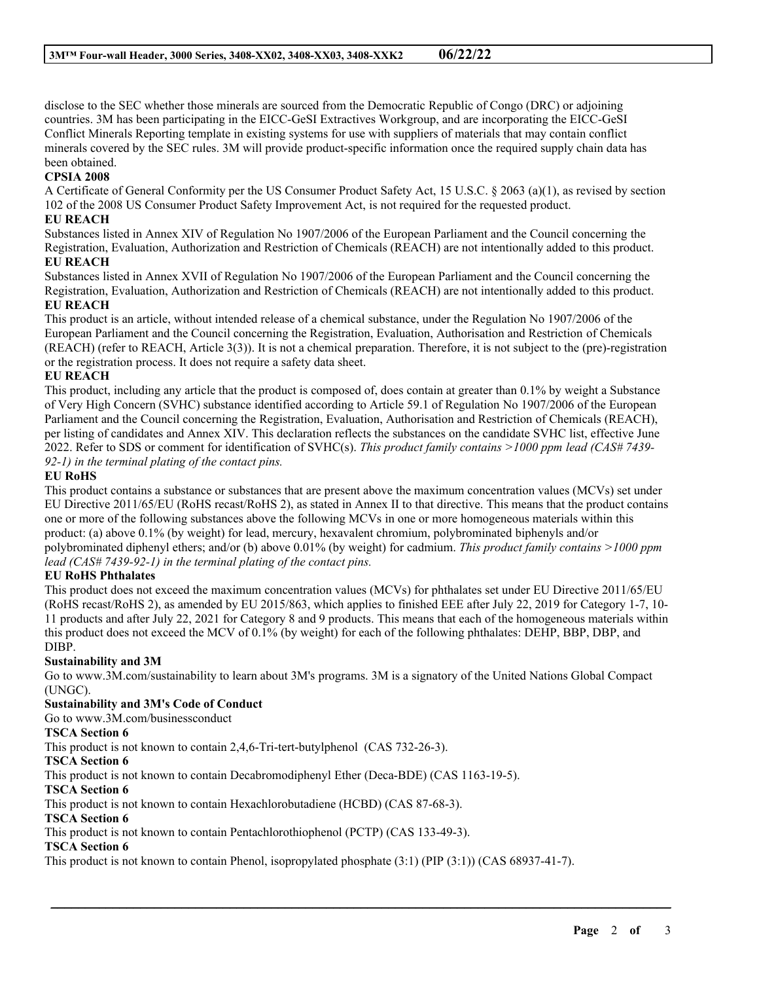disclose to the SEC whether those minerals are sourced from the Democratic Republic of Congo (DRC) or adjoining countries. 3M has been participating in the EICC-GeSI Extractives Workgroup, and are incorporating the EICC-GeSI Conflict Minerals Reporting template in existing systems for use with suppliers of materials that may contain conflict minerals covered by the SEC rules. 3M will provide product-specific information once the required supply chain data has been obtained.

### **CPSIA 2008**

A Certificate of General Conformity per the US Consumer Product Safety Act, 15 U.S.C. § 2063 (a)(1), as revised by section 102 of the 2008 US Consumer Product Safety Improvement Act, is not required for the requested product.

#### **EU REACH**

Substances listed in Annex XIV of Regulation No 1907/2006 of the European Parliament and the Council concerning the Registration, Evaluation, Authorization and Restriction of Chemicals (REACH) are not intentionally added to this product. **EU REACH**

Substances listed in Annex XVII of Regulation No 1907/2006 of the European Parliament and the Council concerning the Registration, Evaluation, Authorization and Restriction of Chemicals (REACH) are not intentionally added to this product. **EU REACH**

This product is an article, without intended release of a chemical substance, under the Regulation No 1907/2006 of the European Parliament and the Council concerning the Registration, Evaluation, Authorisation and Restriction of Chemicals (REACH) (refer to REACH, Article 3(3)). It is not a chemical preparation. Therefore, it is not subject to the (pre)-registration or the registration process. It does not require a safety data sheet.

#### **EU REACH**

This product, including any article that the product is composed of, does contain at greater than 0.1% by weight a Substance of Very High Concern (SVHC) substance identified according to Article 59.1 of Regulation No 1907/2006 of the European Parliament and the Council concerning the Registration, Evaluation, Authorisation and Restriction of Chemicals (REACH), per listing of candidates and Annex XIV. This declaration reflects the substances on the candidate SVHC list, effective June 2022. Refer to SDS or comment for identification of SVHC(s). *This product family contains >1000 ppm lead (CAS# 7439- 92-1) in the terminal plating of the contact pins.*

#### **EU RoHS**

This product contains a substance or substances that are present above the maximum concentration values (MCVs) set under EU Directive 2011/65/EU (RoHS recast/RoHS 2), as stated in Annex II to that directive. This means that the product contains one or more of the following substances above the following MCVs in one or more homogeneous materials within this product: (a) above 0.1% (by weight) for lead, mercury, hexavalent chromium, polybrominated biphenyls and/or polybrominated diphenyl ethers; and/or (b) above 0.01% (by weight) for cadmium. *This product family contains >1000 ppm lead (CAS# 7439-92-1) in the terminal plating of the contact pins.*

#### **EU RoHS Phthalates**

This product does not exceed the maximum concentration values (MCVs) for phthalates set under EU Directive 2011/65/EU (RoHS recast/RoHS 2), as amended by EU 2015/863, which applies to finished EEE after July 22, 2019 for Category 1-7, 10- 11 products and after July 22, 2021 for Category 8 and 9 products. This means that each of the homogeneous materials within this product does not exceed the MCV of 0.1% (by weight) for each of the following phthalates: DEHP, BBP, DBP, and DIBP.

#### **Sustainability and 3M**

Go to www.3M.com/sustainability to learn about 3M's programs. 3M is a signatory of the United Nations Global Compact (UNGC).

\_\_\_\_\_\_\_\_\_\_\_\_\_\_\_\_\_\_\_\_\_\_\_\_\_\_\_\_\_\_\_\_\_\_\_\_\_\_\_\_\_\_\_\_\_\_\_\_\_\_\_\_\_\_\_\_\_\_\_\_\_\_\_\_\_\_\_\_\_\_\_\_\_\_\_\_\_\_\_\_\_\_\_\_\_\_\_\_\_\_

#### **Sustainability and 3M's Code of Conduct**

Go to www.3M.com/businessconduct

#### **TSCA Section 6**

This product is not known to contain 2,4,6-Tri-tert-butylphenol (CAS 732-26-3).

#### **TSCA Section 6**

This product is not known to contain Decabromodiphenyl Ether (Deca-BDE) (CAS 1163-19-5).

#### **TSCA Section 6**

This product is not known to contain Hexachlorobutadiene (HCBD) (CAS 87-68-3).

#### **TSCA Section 6**

This product is not known to contain Pentachlorothiophenol (PCTP) (CAS 133-49-3).

## **TSCA Section 6**

This product is not known to contain Phenol, isopropylated phosphate (3:1) (PIP (3:1)) (CAS 68937-41-7).